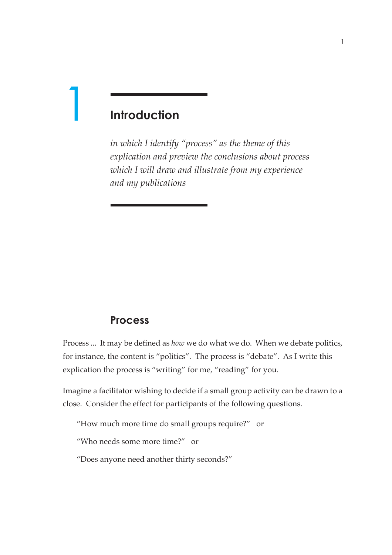# **Introduction**

1

*in which I identify "process" as the theme of this explication and preview the conclusions about process which I will draw and illustrate from my experience and my publications*

### **Process**

Process ... It may be defined as *how* we do what we do. When we debate politics, for instance, the content is "politics". The process is "debate". As I write this explication the process is "writing" for me, "reading" for you.

Imagine a facilitator wishing to decide if a small group activity can be drawn to a close. Consider the effect for participants of the following questions.

"How much more time do small groups require?" or

"Who needs some more time?" or

"Does anyone need another thirty seconds?"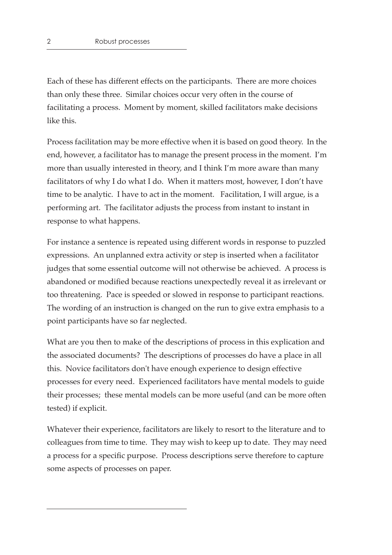Each of these has different effects on the participants. There are more choices than only these three. Similar choices occur very often in the course of facilitating a process. Moment by moment, skilled facilitators make decisions like this.

Process facilitation may be more effective when it is based on good theory. In the end, however, a facilitator has to manage the present process in the moment. I'm more than usually interested in theory, and I think I'm more aware than many facilitators of why I do what I do. When it matters most, however, I don't have time to be analytic. I have to act in the moment. Facilitation, I will argue, is a performing art. The facilitator adjusts the process from instant to instant in response to what happens.

For instance a sentence is repeated using different words in response to puzzled expressions. An unplanned extra activity or step is inserted when a facilitator judges that some essential outcome will not otherwise be achieved. A process is abandoned or modified because reactions unexpectedly reveal it as irrelevant or too threatening. Pace is speeded or slowed in response to participant reactions. The wording of an instruction is changed on the run to give extra emphasis to a point participants have so far neglected.

What are you then to make of the descriptions of process in this explication and the associated documents? The descriptions of processes do have a place in all this. Novice facilitators don't have enough experience to design effective processes for every need. Experienced facilitators have mental models to guide their processes; these mental models can be more useful (and can be more often tested) if explicit.

Whatever their experience, facilitators are likely to resort to the literature and to colleagues from time to time. They may wish to keep up to date. They may need a process for a specific purpose. Process descriptions serve therefore to capture some aspects of processes on paper.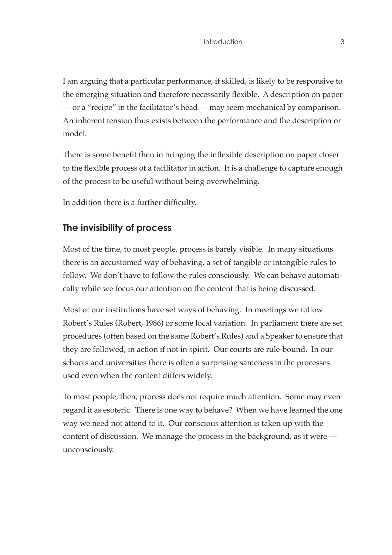I am arguing that a particular performance, if skilled, is likely to be responsive to the emerging situation and therefore necessarily flexible. A description on paper — or a "recipe" in the facilitator's head — may seem mechanical by comparison. An inherent tension thus exists between the performance and the description or model.

There is some benefit then in bringing the inflexible description on paper closer to the flexible process of a facilitator in action. It is a challenge to capture enough of the process to be useful without being overwhelming.

In addition there is a further difficulty.

## **The invisibility of process**

Most of the time, to most people, process is barely visible. In many situations there is an accustomed way of behaving, a set of tangible or intangible rules to follow. We don't have to follow the rules consciously. We can behave automatically while we focus our attention on the content that is being discussed.

Most of our institutions have set ways of behaving. In meetings we follow Robert's Rules (Robert, 1986) or some local variation. In parliament there are set procedures (often based on the same Robert's Rules) and a Speaker to ensure that they are followed, in action if not in spirit. Our courts are rule-bound. In our schools and universities there is often a surprising sameness in the processes used even when the content differs widely.

To most people, then, process does not require much attention. Some may even regard it as esoteric. There is one way to behave? When we have learned the one way we need not attend to it. Our conscious attention is taken up with the content of discussion. We manage the process in the background, as it were unconsciously.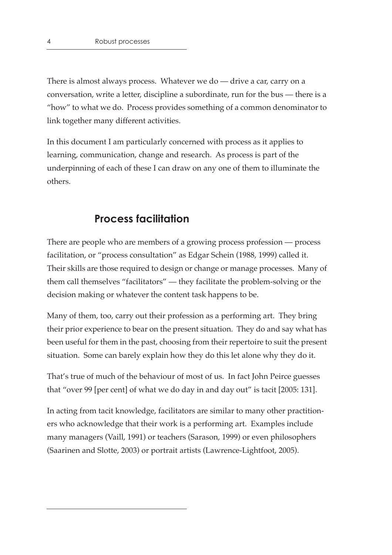There is almost always process. Whatever we do — drive a car, carry on a conversation, write a letter, discipline a subordinate, run for the bus — there is a "how" to what we do. Process provides something of a common denominator to link together many different activities.

In this document I am particularly concerned with process as it applies to learning, communication, change and research. As process is part of the underpinning of each of these I can draw on any one of them to illuminate the others.

### **Process facilitation**

There are people who are members of a growing process profession — process facilitation, or "process consultation" as Edgar Schein (1988, 1999) called it. Their skills are those required to design or change or manage processes. Many of them call themselves "facilitators" — they facilitate the problem-solving or the decision making or whatever the content task happens to be.

Many of them, too, carry out their profession as a performing art. They bring their prior experience to bear on the present situation. They do and say what has been useful for them in the past, choosing from their repertoire to suit the present situation. Some can barely explain how they do this let alone why they do it.

That's true of much of the behaviour of most of us. In fact John Peirce guesses that "over 99 [per cent] of what we do day in and day out" is tacit [2005: 131].

In acting from tacit knowledge, facilitators are similar to many other practitioners who acknowledge that their work is a performing art. Examples include many managers (Vaill, 1991) or teachers (Sarason, 1999) or even philosophers (Saarinen and Slotte, 2003) or portrait artists (Lawrence-Lightfoot, 2005).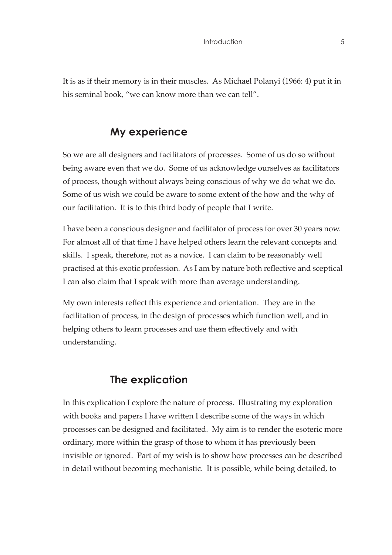It is as if their memory is in their muscles. As Michael Polanyi (1966: 4) put it in his seminal book, "we can know more than we can tell".

## **My experience**

So we are all designers and facilitators of processes. Some of us do so without being aware even that we do. Some of us acknowledge ourselves as facilitators of process, though without always being conscious of why we do what we do. Some of us wish we could be aware to some extent of the how and the why of our facilitation. It is to this third body of people that I write.

I have been a conscious designer and facilitator of process for over 30 years now. For almost all of that time I have helped others learn the relevant concepts and skills. I speak, therefore, not as a novice. I can claim to be reasonably well practised at this exotic profession. As I am by nature both reflective and sceptical I can also claim that I speak with more than average understanding.

My own interests reflect this experience and orientation. They are in the facilitation of process, in the design of processes which function well, and in helping others to learn processes and use them effectively and with understanding.

## **The explication**

In this explication I explore the nature of process. Illustrating my exploration with books and papers I have written I describe some of the ways in which processes can be designed and facilitated. My aim is to render the esoteric more ordinary, more within the grasp of those to whom it has previously been invisible or ignored. Part of my wish is to show how processes can be described in detail without becoming mechanistic. It is possible, while being detailed, to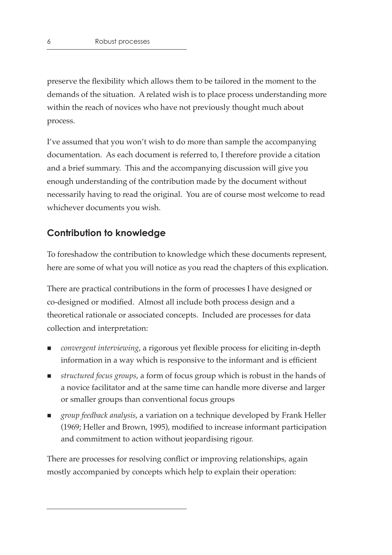preserve the flexibility which allows them to be tailored in the moment to the demands of the situation. A related wish is to place process understanding more within the reach of novices who have not previously thought much about process.

I've assumed that you won't wish to do more than sample the accompanying documentation. As each document is referred to, I therefore provide a citation and a brief summary. This and the accompanying discussion will give you enough understanding of the contribution made by the document without necessarily having to read the original. You are of course most welcome to read whichever documents you wish.

### **Contribution to knowledge**

To foreshadow the contribution to knowledge which these documents represent, here are some of what you will notice as you read the chapters of this explication.

There are practical contributions in the form of processes I have designed or co-designed or modified. Almost all include both process design and a theoretical rationale or associated concepts. Included are processes for data collection and interpretation:

- *convergent interviewing*, a rigorous yet flexible process for eliciting in-depth information in a way which is responsive to the informant and is efficient
- *structured focus groups*, a form of focus group which is robust in the hands of a novice facilitator and at the same time can handle more diverse and larger or smaller groups than conventional focus groups
- *group feedback analysis*, a variation on a technique developed by Frank Heller (1969; Heller and Brown, 1995), modified to increase informant participation and commitment to action without jeopardising rigour.

There are processes for resolving conflict or improving relationships, again mostly accompanied by concepts which help to explain their operation: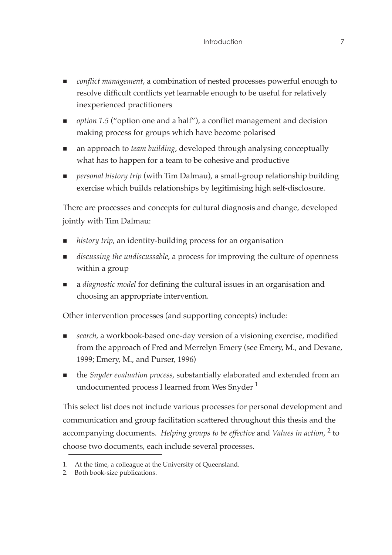- *conflict management*, a combination of nested processes powerful enough to resolve difficult conflicts yet learnable enough to be useful for relatively inexperienced practitioners
- *option 1.5* ("option one and a half"), a conflict management and decision making process for groups which have become polarised
- an approach to *team building*, developed through analysing conceptually what has to happen for a team to be cohesive and productive
- *personal history trip* (with Tim Dalmau), a small-group relationship building exercise which builds relationships by legitimising high self-disclosure.

There are processes and concepts for cultural diagnosis and change, developed jointly with Tim Dalmau:

- *history trip*, an identity-building process for an organisation
- *discussing the undiscussable*, a process for improving the culture of openness within a group
- a *diagnostic model* for defining the cultural issues in an organisation and choosing an appropriate intervention.

Other intervention processes (and supporting concepts) include:

- *search*, a workbook-based one-day version of a visioning exercise, modified from the approach of Fred and Merrelyn Emery (see Emery, M., and Devane, 1999; Emery, M., and Purser, 1996)
- the *Snyder evaluation process*, substantially elaborated and extended from an undocumented process I learned from Wes Snyder<sup>1</sup>

This select list does not include various processes for personal development and communication and group facilitation scattered throughout this thesis and the accompanying documents. *Helping groups to be effective* and *Values in action*, 2 to choose two documents, each include several processes.

<sup>1.</sup> At the time, a colleague at the University of Queensland.

<sup>2.</sup> Both book-size publications.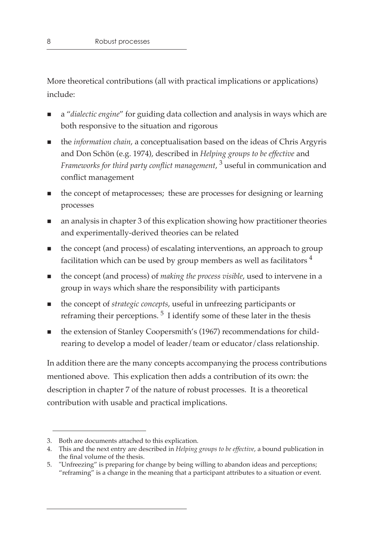More theoretical contributions (all with practical implications or applications) include:

- a "*dialectic engine*" for guiding data collection and analysis in ways which are both responsive to the situation and rigorous
- the *information chain*, a conceptualisation based on the ideas of Chris Argyris and Don Schön (e.g. 1974), described in *Helping groups to be effective* and *Frameworks for third party conflict management*, <sup>3</sup> useful in communication and conflict management
- the concept of metaprocesses; these are processes for designing or learning processes
- an analysis in chapter 3 of this explication showing how practitioner theories and experimentally-derived theories can be related
- the concept (and process) of escalating interventions, an approach to group facilitation which can be used by group members as well as facilitators  $4$
- the concept (and process) of *making the process visible*, used to intervene in a group in ways which share the responsibility with participants
- the concept of *strategic concepts*, useful in unfreezing participants or reframing their perceptions. 5 I identify some of these later in the thesis
- the extension of Stanley Coopersmith's (1967) recommendations for childrearing to develop a model of leader/team or educator/class relationship.

In addition there are the many concepts accompanying the process contributions mentioned above. This explication then adds a contribution of its own: the description in chapter 7 of the nature of robust processes. It is a theoretical contribution with usable and practical implications.

<sup>3.</sup> Both are documents attached to this explication.

<sup>4.</sup> This and the next entry are described in *Helping groups to be effective*, a bound publication in the final volume of the thesis.

<sup>5. &</sup>quot;Unfreezing" is preparing for change by being willing to abandon ideas and perceptions; "reframing" is a change in the meaning that a participant attributes to a situation or event.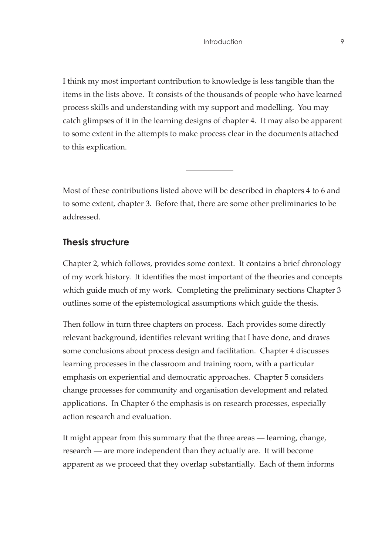I think my most important contribution to knowledge is less tangible than the items in the lists above. It consists of the thousands of people who have learned process skills and understanding with my support and modelling. You may catch glimpses of it in the learning designs of chapter 4. It may also be apparent to some extent in the attempts to make process clear in the documents attached to this explication.

Most of these contributions listed above will be described in chapters 4 to 6 and to some extent, chapter 3. Before that, there are some other preliminaries to be addressed.

## **Thesis structure**

Chapter 2, which follows, provides some context. It contains a brief chronology of my work history. It identifies the most important of the theories and concepts which guide much of my work. Completing the preliminary sections Chapter 3 outlines some of the epistemological assumptions which guide the thesis.

Then follow in turn three chapters on process. Each provides some directly relevant background, identifies relevant writing that I have done, and draws some conclusions about process design and facilitation. Chapter 4 discusses learning processes in the classroom and training room, with a particular emphasis on experiential and democratic approaches. Chapter 5 considers change processes for community and organisation development and related applications. In Chapter 6 the emphasis is on research processes, especially action research and evaluation.

It might appear from this summary that the three areas — learning, change, research — are more independent than they actually are. It will become apparent as we proceed that they overlap substantially. Each of them informs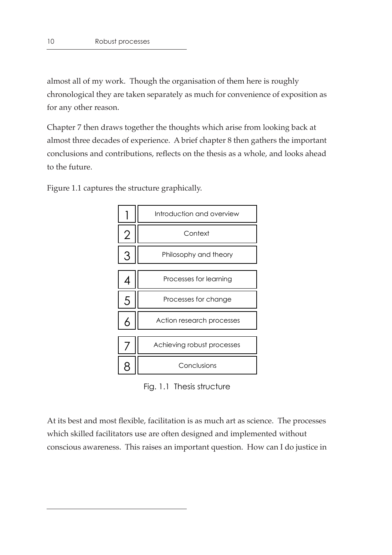almost all of my work. Though the organisation of them here is roughly chronological they are taken separately as much for convenience of exposition as for any other reason.

Chapter 7 then draws together the thoughts which arise from looking back at almost three decades of experience. A brief chapter 8 then gathers the important conclusions and contributions, reflects on the thesis as a whole, and looks ahead to the future.

Figure 1.1 captures the structure graphically.



Fig. 1.1 Thesis structure

At its best and most flexible, facilitation is as much art as science. The processes which skilled facilitators use are often designed and implemented without conscious awareness. This raises an important question. How can I do justice in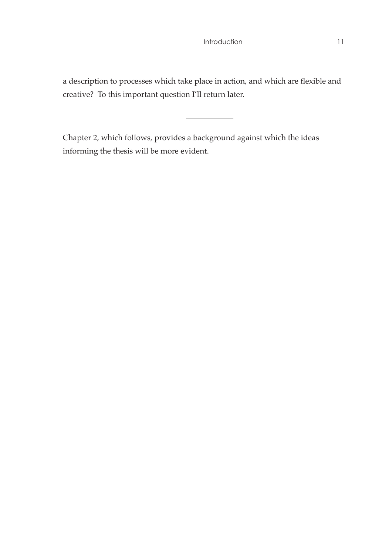a description to processes which take place in action, and which are flexible and creative? To this important question I'll return later.

Chapter 2, which follows, provides a background against which the ideas informing the thesis will be more evident.